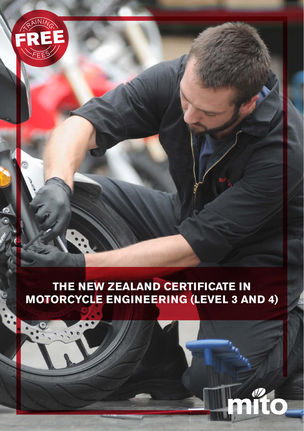

# **THE NEW ZEALAND CERTIFICATE IN MOTORCYCLE ENGINEERING (LEVEL 3 AND 4)**

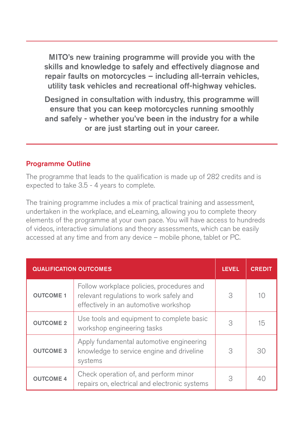MITO's new training programme will provide you with the skills and knowledge to safely and effectively diagnose and repair faults on motorcycles – including all-terrain vehicles, utility task vehicles and recreational off-highway vehicles.

Designed in consultation with industry, this programme will ensure that you can keep motorcycles running smoothly and safely - whether you've been in the industry for a while or are just starting out in your career.

#### Programme Outline

The programme that leads to the qualification is made up of 282 credits and is expected to take 3.5 - 4 years to complete.

The training programme includes a mix of practical training and assessment, undertaken in the workplace, and eLearning, allowing you to complete theory elements of the programme at your own pace. You will have access to hundreds of videos, interactive simulations and theory assessments, which can be easily accessed at any time and from any device – mobile phone, tablet or PC.

| <b>QUALIFICATION OUTCOMES</b> |                                                                                                                               | <b>LEVEL</b> | <b>CREDIT</b> |
|-------------------------------|-------------------------------------------------------------------------------------------------------------------------------|--------------|---------------|
| <b>OUTCOME 1</b>              | Follow workplace policies, procedures and<br>relevant regulations to work safely and<br>effectively in an automotive workshop | 3            | 10            |
| <b>OUTCOME 2</b>              | Use tools and equipment to complete basic<br>workshop engineering tasks                                                       | 3            | $15\,$        |
| <b>OUTCOME 3</b>              | Apply fundamental automotive engineering<br>knowledge to service engine and driveline<br>systems                              | 3            | 30            |
| <b>OUTCOME 4</b>              | Check operation of, and perform minor<br>repairs on, electrical and electronic systems                                        | 3            |               |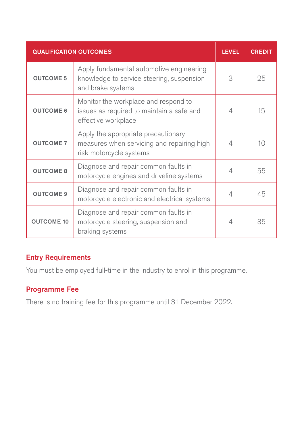| <b>QUALIFICATION OUTCOMES</b> |                                                                                                              | <b>LEVEL</b> | <b>CREDIT</b> |
|-------------------------------|--------------------------------------------------------------------------------------------------------------|--------------|---------------|
| <b>OUTCOME 5</b>              | Apply fundamental automotive engineering<br>knowledge to service steering, suspension<br>and brake systems   | 3            | 25            |
| <b>OUTCOME 6</b>              | Monitor the workplace and respond to<br>issues as required to maintain a safe and<br>effective workplace     | 4            | 15            |
| <b>OUTCOME 7</b>              | Apply the appropriate precautionary<br>measures when servicing and repairing high<br>risk motorcycle systems | $\Delta$     | 10            |
| <b>OUTCOME 8</b>              | Diagnose and repair common faults in<br>motorcycle engines and driveline systems                             | $\Delta$     | 55            |
| <b>OUTCOME 9</b>              | Diagnose and repair common faults in<br>motorcycle electronic and electrical systems                         | 4            | 45            |
| <b>OUTCOME 10</b>             | Diagnose and repair common faults in<br>motorcycle steering, suspension and<br>braking systems               | 4            | 35            |

### Entry Requirements

You must be employed full-time in the industry to enrol in this programme.

### Programme Fee

There is no training fee for this programme until 31 December 2022.